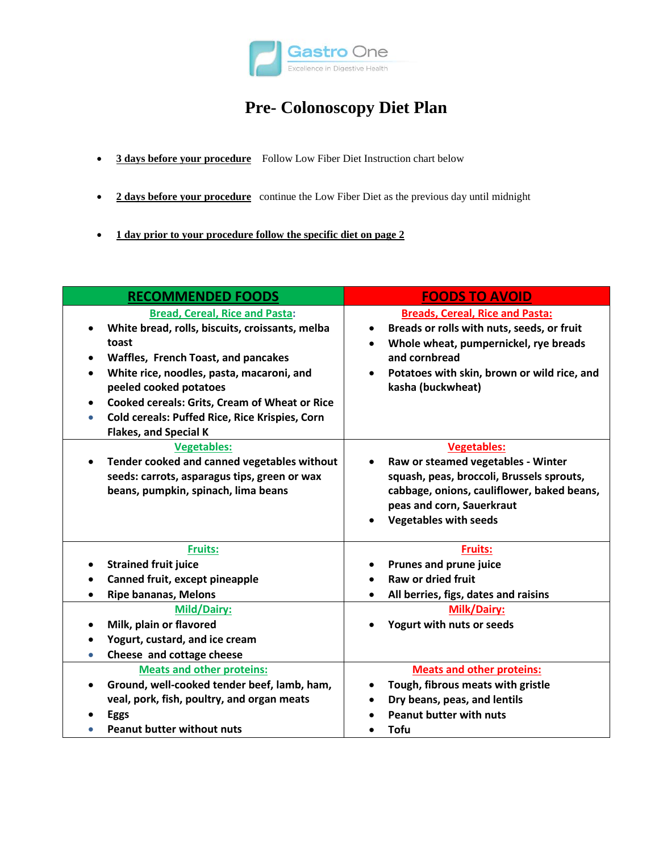

# **Pre- Colonoscopy Diet Plan**

- **3 days before your procedure** Follow Low Fiber Diet Instruction chart below
- **2 days before your procedure** continue the Low Fiber Diet as the previous day until midnight
- **1 day prior to your procedure follow the specific diet on page 2**

| <b>RECOMMENDED FOODS</b>                                                                                                                                                                                                                                                                                                                                               | <b>FOODS TO AVOID</b>                                                                                                                                                                                                                                     |
|------------------------------------------------------------------------------------------------------------------------------------------------------------------------------------------------------------------------------------------------------------------------------------------------------------------------------------------------------------------------|-----------------------------------------------------------------------------------------------------------------------------------------------------------------------------------------------------------------------------------------------------------|
| <b>Bread, Cereal, Rice and Pasta:</b><br>White bread, rolls, biscuits, croissants, melba<br>toast<br>Waffles, French Toast, and pancakes<br>White rice, noodles, pasta, macaroni, and<br>peeled cooked potatoes<br><b>Cooked cereals: Grits, Cream of Wheat or Rice</b><br>Cold cereals: Puffed Rice, Rice Krispies, Corn<br>$\bullet$<br><b>Flakes, and Special K</b> | <b>Breads, Cereal, Rice and Pasta:</b><br>Breads or rolls with nuts, seeds, or fruit<br>$\bullet$<br>Whole wheat, pumpernickel, rye breads<br>$\bullet$<br>and cornbread<br>Potatoes with skin, brown or wild rice, and<br>$\bullet$<br>kasha (buckwheat) |
| <b>Vegetables:</b><br>Tender cooked and canned vegetables without<br>$\bullet$<br>seeds: carrots, asparagus tips, green or wax<br>beans, pumpkin, spinach, lima beans                                                                                                                                                                                                  | <b>Vegetables:</b><br>Raw or steamed vegetables - Winter<br>$\bullet$<br>squash, peas, broccoli, Brussels sprouts,<br>cabbage, onions, cauliflower, baked beans,<br>peas and corn, Sauerkraut<br><b>Vegetables with seeds</b>                             |
| <b>Fruits:</b><br><b>Strained fruit juice</b><br>Canned fruit, except pineapple<br><b>Ripe bananas, Melons</b><br><b>Mild/Dairy:</b><br>Milk, plain or flavored<br>$\bullet$<br>Yogurt, custard, and ice cream<br>Cheese and cottage cheese                                                                                                                            | <b>Fruits:</b><br><b>Prunes and prune juice</b><br><b>Raw or dried fruit</b><br>All berries, figs, dates and raisins<br>$\bullet$<br><b>Milk/Dairy:</b><br>Yogurt with nuts or seeds                                                                      |
| <b>Meats and other proteins:</b><br>Ground, well-cooked tender beef, lamb, ham,<br>$\bullet$<br>veal, pork, fish, poultry, and organ meats<br>Eggs<br><b>Peanut butter without nuts</b>                                                                                                                                                                                | <b>Meats and other proteins:</b><br>Tough, fibrous meats with gristle<br>٠<br>Dry beans, peas, and lentils<br><b>Peanut butter with nuts</b><br><b>Tofu</b>                                                                                               |